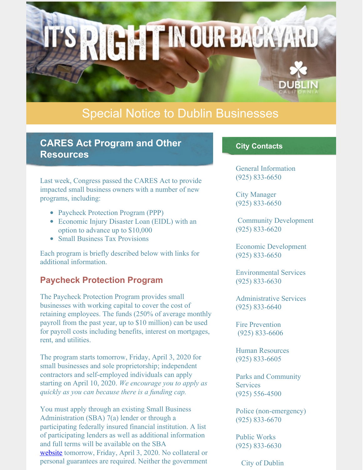# Special Notice to Dublin Businesses

**RIGHT IN OUR BACKYARD** 

### **CARES Act Program and Other Resources**

Last week, Congress passed the CARES Act to provide impacted small business owners with a number of new programs, including:

- Paycheck Protection Program (PPP)
- Economic Injury Disaster Loan (EIDL) with an option to advance up to \$10,000
- Small Business Tax Provisions

Each program is briefly described below with links for additional information.

#### **Paycheck Protection Program**

The Paycheck Protection Program provides small businesses with working capital to cover the cost of retaining employees. The funds (250% of average monthly payroll from the past year, up to \$10 million) can be used for payroll costs including benefits, interest on mortgages, rent, and utilities.

The program starts tomorrow, Friday, April 3, 2020 for small businesses and sole proprietorship; independent contractors and self-employed individuals can apply starting on April 10, 2020. *We encourage you to apply as quickly as you can because there is a funding cap.*

You must apply through an existing Small Business Administration (SBA) 7(a) lender or through a participating federally insured financial institution. A list of participating lenders as well as additional information and full terms will be available on the SBA [website](https://www.sba.gov/) tomorrow, Friday, April 3, 2020. No collateral or personal guarantees are required. Neither the government

#### **City Contacts**

General Information (925) 833-6650

City Manager (925) 833-6650

Community Development (925) 833-6620

Economic Development (925) 833-6650

Environmental Services (925) 833-6630

Administrative Services (925) 833-6640

Fire Prevention (925) 833-6606

Human Resources (925) 833-6605

Parks and Community **Services** (925) 556-4500

Police (non-emergency) (925) 833-6670

Public Works (925) 833-6630

City of Dublin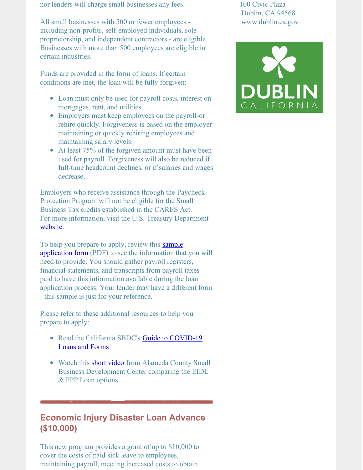nor lenders will charge small businesses any fees.

All small businesses with 500 or fewer employees including non-profits, self-employed individuals, sole proprietorship, and independent contractors - are eligible. Businesses with more than 500 employees are eligible in certain industries.

Funds are provided in the form of loans. If certain conditions are met, the loan will be fully forgiven:

- Loan must only be used for payroll costs, interest on mortgages, rent, and utilities.
- Employers must keep employees on the payroll-or rehire quickly. Forgiveness is based on the employer maintaining or quickly rehiring employees and maintaining salary levels.
- At least 75% of the forgiven amount must have been used for payroll. Forgiveness will also be reduced if full-time headcount declines, or if salaries and wages decrease.

Employers who receive assistance through the Paycheck Protection Program will not be eligible for the Small Business Tax credits established in the CARES Act. For more information, visit the U.S. Treasury Department [website](https://home.treasury.gov/policy-issues/top-priorities/cares-act/assistance-for-small-businesses).

To help you prepare to apply, review this **sample** application form (PDF) to see the [information](https://home.treasury.gov/system/files/136/Paycheck-Protection-Program-Application-3-30-2020-v3.pdf) that you will need to provide. You should gather payroll registers, financial statements, and transcripts from payroll taxes paid to have this information available during the loan application process. Your lender may have a different form - this sample is just for your reference.

Please refer to these additional resources to help you prepare to apply:

- Read the California SBDC's Guide to [COVID-19](https://www.californiasbdc.org/sites/default/files/SBDC_guide-applying-loans_3-26-20-v3.pdf) Loans and Forms
- Watch this **short [video](https://cccconfer.zoom.us/rec/share/2-dbIaPp1GdJQLfd6G7_Q7R4OIHCT6a82iAZqfIPnkbU4FZzL17RXgSs6uBFdYJy)** from Alameda County Small Business Development Center comparing the EIDL & PPP Loan options

## **Economic Injury Disaster Loan Advance (\$10,000)**

This new program provides a grant of up to \$10,000 to cover the costs of paid sick leave to employees, maintaining payroll, meeting increased costs to obtain

100 Civic Plaza Dublin, CA 94568 www.dublin.ca.gov

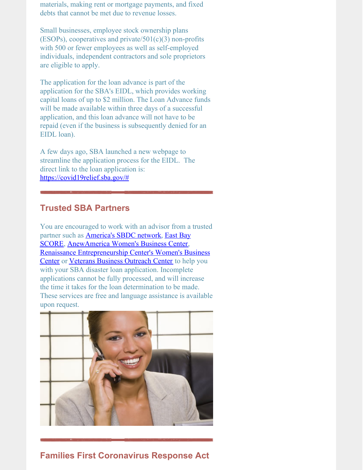materials, making rent or mortgage payments, and fixed debts that cannot be met due to revenue losses.

Small businesses, employee stock ownership plans (ESOPs), cooperatives and private/ $501(c)(3)$  non-profits with 500 or fewer employees as well as self-employed individuals, independent contractors and sole proprietors are eligible to apply.

The application for the loan advance is part of the application for the SBA's EIDL, which provides working capital loans of up to \$2 million. The Loan Advance funds will be made available within three days of a successful application, and this loan advance will not have to be repaid (even if the business is subsequently denied for an EIDL loan).

A few days ago, SBA launched a new webpage to streamline the application process for the EIDL. The direct link to the loan application is: [https://covid19relief.sba.gov/#](https://covid19relief.sba.gov/#/)

### **Trusted SBA Partners**

You are encouraged to work with an advisor from a trusted partner such as [America's](https://americassbdc.org/) SBDC network, East Bay SCORE, [AnewAmerica](https://www.anewamerica.org/en/) Women's Business Center, Renaissance [Entrepreneurship](https://www.rencenter.org/locations/wbc/) Center's Women's Business Center or Veterans Business [Outreach](https://www.vbocix.org/) Center to help you with your SBA disaster loan application. Incomplete applications cannot be fully processed, and will increase the time it takes for the loan determination to be made. These services are free and language assistance is available upon request.



### **Families First Coronavirus Response Act**